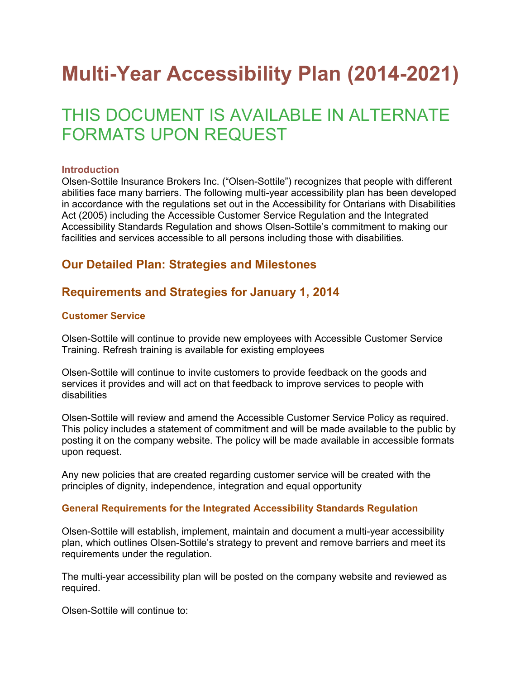# Multi-Year Accessibility Plan (2014-2021)

# THIS DOCUMENT IS AVAILABLE IN ALTERNATE FORMATS UPON REQUEST

#### **Introduction**

Olsen-Sottile Insurance Brokers Inc. ("Olsen-Sottile") recognizes that people with different abilities face many barriers. The following multi-year accessibility plan has been developed in accordance with the regulations set out in the Accessibility for Ontarians with Disabilities Act (2005) including the Accessible Customer Service Regulation and the Integrated Accessibility Standards Regulation and shows Olsen-Sottile's commitment to making our facilities and services accessible to all persons including those with disabilities.

# Our Detailed Plan: Strategies and Milestones

# Requirements and Strategies for January 1, 2014

#### Customer Service

Olsen-Sottile will continue to provide new employees with Accessible Customer Service Training. Refresh training is available for existing employees

Olsen-Sottile will continue to invite customers to provide feedback on the goods and services it provides and will act on that feedback to improve services to people with disabilities

Olsen-Sottile will review and amend the Accessible Customer Service Policy as required. This policy includes a statement of commitment and will be made available to the public by posting it on the company website. The policy will be made available in accessible formats upon request.

Any new policies that are created regarding customer service will be created with the principles of dignity, independence, integration and equal opportunity

#### General Requirements for the Integrated Accessibility Standards Regulation

Olsen-Sottile will establish, implement, maintain and document a multi-year accessibility plan, which outlines Olsen-Sottile's strategy to prevent and remove barriers and meet its requirements under the regulation.

The multi-year accessibility plan will be posted on the company website and reviewed as required.

Olsen-Sottile will continue to: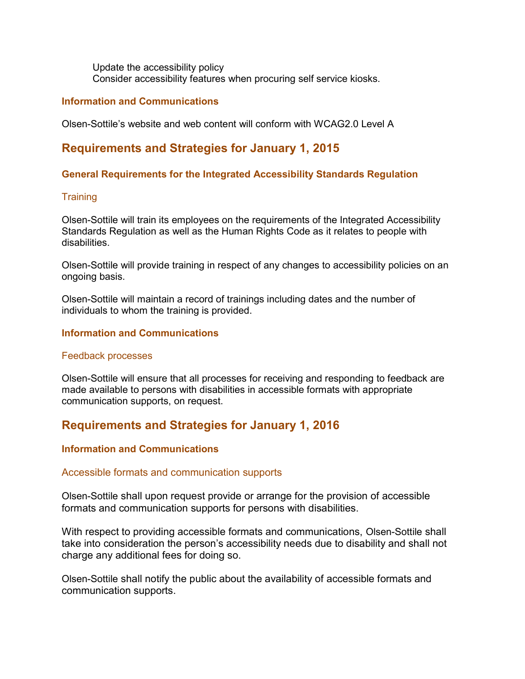Update the accessibility policy Consider accessibility features when procuring self service kiosks.

#### Information and Communications

Olsen-Sottile's website and web content will conform with WCAG2.0 Level A

# Requirements and Strategies for January 1, 2015

#### General Requirements for the Integrated Accessibility Standards Regulation

#### **Training**

Olsen-Sottile will train its employees on the requirements of the Integrated Accessibility Standards Regulation as well as the Human Rights Code as it relates to people with disabilities.

Olsen-Sottile will provide training in respect of any changes to accessibility policies on an ongoing basis.

Olsen-Sottile will maintain a record of trainings including dates and the number of individuals to whom the training is provided.

#### Information and Communications

#### Feedback processes

Olsen-Sottile will ensure that all processes for receiving and responding to feedback are made available to persons with disabilities in accessible formats with appropriate communication supports, on request.

# Requirements and Strategies for January 1, 2016

#### Information and Communications

#### Accessible formats and communication supports

Olsen-Sottile shall upon request provide or arrange for the provision of accessible formats and communication supports for persons with disabilities.

With respect to providing accessible formats and communications, Olsen-Sottile shall take into consideration the person's accessibility needs due to disability and shall not charge any additional fees for doing so.

Olsen-Sottile shall notify the public about the availability of accessible formats and communication supports.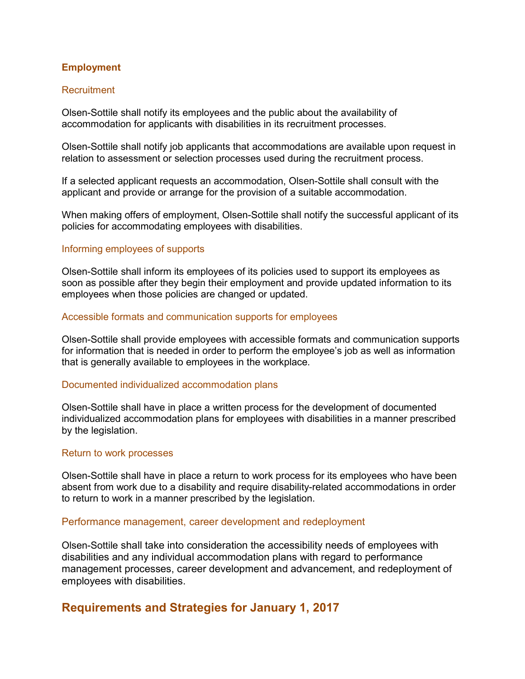#### Employment

#### **Recruitment**

Olsen-Sottile shall notify its employees and the public about the availability of accommodation for applicants with disabilities in its recruitment processes.

Olsen-Sottile shall notify job applicants that accommodations are available upon request in relation to assessment or selection processes used during the recruitment process.

If a selected applicant requests an accommodation, Olsen-Sottile shall consult with the applicant and provide or arrange for the provision of a suitable accommodation.

When making offers of employment, Olsen-Sottile shall notify the successful applicant of its policies for accommodating employees with disabilities.

#### Informing employees of supports

Olsen-Sottile shall inform its employees of its policies used to support its employees as soon as possible after they begin their employment and provide updated information to its employees when those policies are changed or updated.

#### Accessible formats and communication supports for employees

Olsen-Sottile shall provide employees with accessible formats and communication supports for information that is needed in order to perform the employee's job as well as information that is generally available to employees in the workplace.

#### Documented individualized accommodation plans

Olsen-Sottile shall have in place a written process for the development of documented individualized accommodation plans for employees with disabilities in a manner prescribed by the legislation.

#### Return to work processes

Olsen-Sottile shall have in place a return to work process for its employees who have been absent from work due to a disability and require disability-related accommodations in order to return to work in a manner prescribed by the legislation.

#### Performance management, career development and redeployment

Olsen-Sottile shall take into consideration the accessibility needs of employees with disabilities and any individual accommodation plans with regard to performance management processes, career development and advancement, and redeployment of employees with disabilities.

### Requirements and Strategies for January 1, 2017